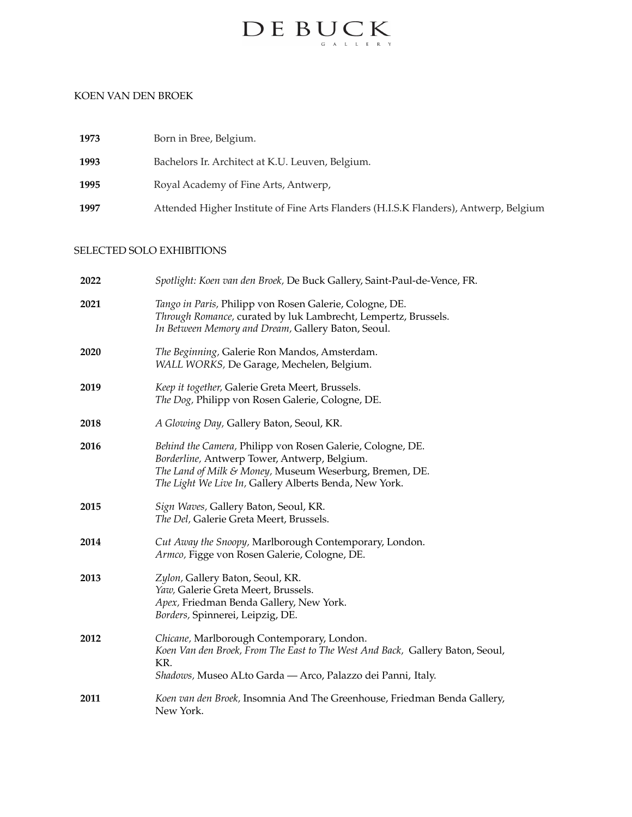

### KOEN VAN DEN BROEK

| 1973 | Born in Bree, Belgium.                                                               |
|------|--------------------------------------------------------------------------------------|
| 1993 | Bachelors Ir. Architect at K.U. Leuven, Belgium.                                     |
| 1995 | Royal Academy of Fine Arts, Antwerp,                                                 |
| 1997 | Attended Higher Institute of Fine Arts Flanders (H.I.S.K Flanders), Antwerp, Belgium |

### SELECTED SOLO EXHIBITIONS

| 2022 | Spotlight: Koen van den Broek, De Buck Gallery, Saint-Paul-de-Vence, FR.                                                                                                                                                        |
|------|---------------------------------------------------------------------------------------------------------------------------------------------------------------------------------------------------------------------------------|
| 2021 | Tango in Paris, Philipp von Rosen Galerie, Cologne, DE.<br>Through Romance, curated by luk Lambrecht, Lempertz, Brussels.<br>In Between Memory and Dream, Gallery Baton, Seoul.                                                 |
| 2020 | The Beginning, Galerie Ron Mandos, Amsterdam.<br>WALL WORKS, De Garage, Mechelen, Belgium.                                                                                                                                      |
| 2019 | Keep it together, Galerie Greta Meert, Brussels.<br>The Dog, Philipp von Rosen Galerie, Cologne, DE.                                                                                                                            |
| 2018 | A Glowing Day, Gallery Baton, Seoul, KR.                                                                                                                                                                                        |
| 2016 | Behind the Camera, Philipp von Rosen Galerie, Cologne, DE.<br>Borderline, Antwerp Tower, Antwerp, Belgium.<br>The Land of Milk & Money, Museum Weserburg, Bremen, DE.<br>The Light We Live In, Gallery Alberts Benda, New York. |
| 2015 | Sign Waves, Gallery Baton, Seoul, KR.<br>The Del, Galerie Greta Meert, Brussels.                                                                                                                                                |
| 2014 | Cut Away the Snoopy, Marlborough Contemporary, London.<br>Armco, Figge von Rosen Galerie, Cologne, DE.                                                                                                                          |
| 2013 | Zylon, Gallery Baton, Seoul, KR.<br>Yaw, Galerie Greta Meert, Brussels.<br>Apex, Friedman Benda Gallery, New York.<br>Borders, Spinnerei, Leipzig, DE.                                                                          |
| 2012 | Chicane, Marlborough Contemporary, London.<br>Koen Van den Broek, From The East to The West And Back, Gallery Baton, Seoul,<br>KR.<br>Shadows, Museo ALto Garda - Arco, Palazzo dei Panni, Italy.                               |
| 2011 | Koen van den Broek, Insomnia And The Greenhouse, Friedman Benda Gallery,<br>New York.                                                                                                                                           |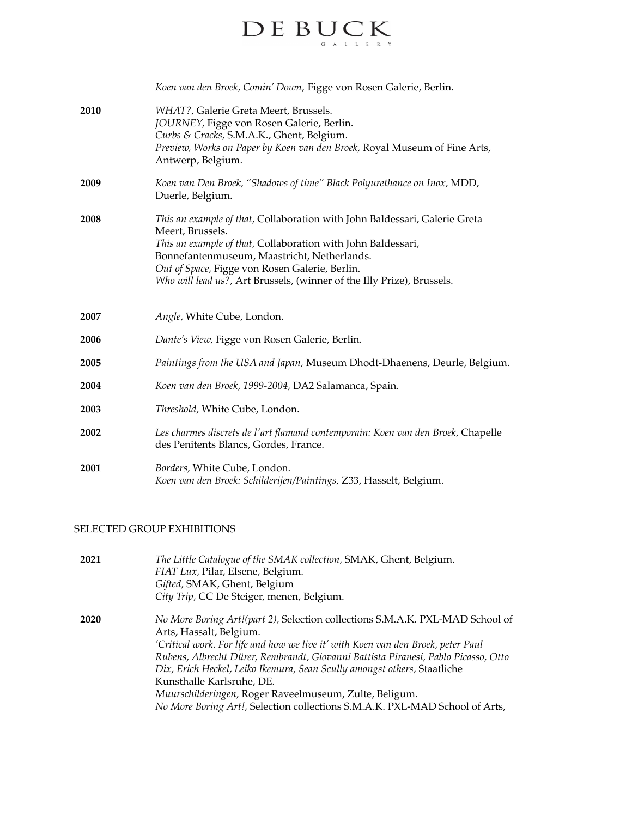# $\label{eq:decomp} \begin{array}{ll} \hspace{-3mm} \textbf{D} \, \textbf{E} \, \hspace{0.1cm} \textbf{B} \, \textbf{U} \, \textbf{C} \, \textbf{K} \\ \hspace{-3mm} \textbf{E} \, \hspace{0.1cm} \textbf{E} \, \textbf{E} \, \textbf{K} \end{array}$

|      | Koen van den Broek, Comin' Down, Figge von Rosen Galerie, Berlin.                                                                                                                                                                                                                                                                         |
|------|-------------------------------------------------------------------------------------------------------------------------------------------------------------------------------------------------------------------------------------------------------------------------------------------------------------------------------------------|
| 2010 | WHAT?, Galerie Greta Meert, Brussels.<br>JOURNEY, Figge von Rosen Galerie, Berlin.<br>Curbs & Cracks, S.M.A.K., Ghent, Belgium.<br>Preview, Works on Paper by Koen van den Broek, Royal Museum of Fine Arts,<br>Antwerp, Belgium.                                                                                                         |
| 2009 | Koen van Den Broek, "Shadows of time" Black Polyurethance on Inox, MDD,<br>Duerle, Belgium.                                                                                                                                                                                                                                               |
| 2008 | This an example of that, Collaboration with John Baldessari, Galerie Greta<br>Meert, Brussels.<br>This an example of that, Collaboration with John Baldessari,<br>Bonnefantenmuseum, Maastricht, Netherlands.<br>Out of Space, Figge von Rosen Galerie, Berlin.<br>Who will lead us?, Art Brussels, (winner of the Illy Prize), Brussels. |
| 2007 | Angle, White Cube, London.                                                                                                                                                                                                                                                                                                                |
| 2006 | Dante's View, Figge von Rosen Galerie, Berlin.                                                                                                                                                                                                                                                                                            |
| 2005 | Paintings from the USA and Japan, Museum Dhodt-Dhaenens, Deurle, Belgium.                                                                                                                                                                                                                                                                 |
| 2004 | Koen van den Broek, 1999-2004, DA2 Salamanca, Spain.                                                                                                                                                                                                                                                                                      |
| 2003 | Threshold, White Cube, London.                                                                                                                                                                                                                                                                                                            |
| 2002 | Les charmes discrets de l'art flamand contemporain: Koen van den Broek, Chapelle<br>des Penitents Blancs, Gordes, France.                                                                                                                                                                                                                 |
| 2001 | Borders, White Cube, London.<br>Koen van den Broek: Schilderijen/Paintings, Z33, Hasselt, Belgium.                                                                                                                                                                                                                                        |

### SELECTED GROUP EXHIBITIONS

| 2021 | The Little Catalogue of the SMAK collection, SMAK, Ghent, Belgium.<br>FIAT Lux, Pilar, Elsene, Belgium.<br>Gifted, SMAK, Ghent, Belgium<br>City Trip, CC De Steiger, menen, Belgium.                                                                                                                                                                                                                                                                                                                                                 |
|------|--------------------------------------------------------------------------------------------------------------------------------------------------------------------------------------------------------------------------------------------------------------------------------------------------------------------------------------------------------------------------------------------------------------------------------------------------------------------------------------------------------------------------------------|
| 2020 | No More Boring Art!(part 2), Selection collections S.M.A.K. PXL-MAD School of<br>Arts, Hassalt, Belgium.<br>'Critical work. For life and how we live it' with Koen van den Broek, peter Paul<br>Rubens, Albrecht Dürer, Rembrandt, Giovanni Battista Piranesi, Pablo Picasso, Otto<br>Dix, Erich Heckel, Leiko Ikemura, Sean Scully amongst others, Staatliche<br>Kunsthalle Karlsruhe, DE.<br>Muurschilderingen, Roger Raveelmuseum, Zulte, Beligum.<br>No More Boring Art!, Selection collections S.M.A.K. PXL-MAD School of Arts, |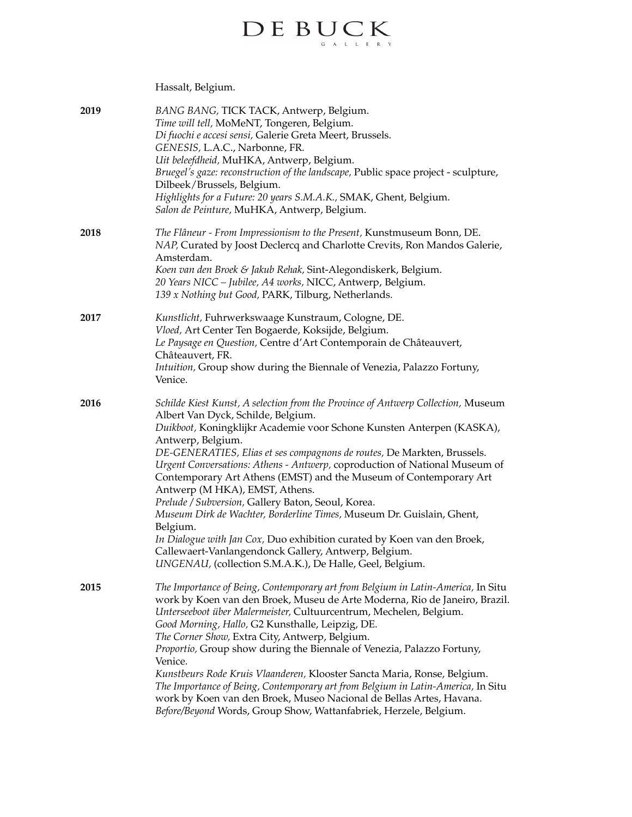# $\label{eq:decomp} \begin{array}{ll} \mathbf{D} \to \mathbf{B} \mathbf{U} \mathbf{C} \mathbf{K} \\ \mathbf{C} \mathbf{K} \mathbf{K} \end{array}$

## Hassalt, Belgium.

| 2019 | BANG BANG, TICK TACK, Antwerp, Belgium.<br>Time will tell, MoMeNT, Tongeren, Belgium.<br>Di fuochi e accesi sensi, Galerie Greta Meert, Brussels.<br>GENESIS, L.A.C., Narbonne, FR.<br>Uit beleefdheid, MuHKA, Antwerp, Belgium.<br>Bruegel's gaze: reconstruction of the landscape, Public space project - sculpture,<br>Dilbeek/Brussels, Belgium.<br>Highlights for a Future: 20 years S.M.A.K., SMAK, Ghent, Belgium.<br>Salon de Peinture, MuHKA, Antwerp, Belgium.                                                                                                                                                                                                                                                                                                                                                       |
|------|--------------------------------------------------------------------------------------------------------------------------------------------------------------------------------------------------------------------------------------------------------------------------------------------------------------------------------------------------------------------------------------------------------------------------------------------------------------------------------------------------------------------------------------------------------------------------------------------------------------------------------------------------------------------------------------------------------------------------------------------------------------------------------------------------------------------------------|
| 2018 | The Flâneur - From Impressionism to the Present, Kunstmuseum Bonn, DE.<br>NAP, Curated by Joost Declercq and Charlotte Crevits, Ron Mandos Galerie,<br>Amsterdam.<br>Koen van den Broek & Jakub Rehak, Sint-Alegondiskerk, Belgium.<br>20 Years NICC - Jubilee, A4 works, NICC, Antwerp, Belgium.<br>139 x Nothing but Good, PARK, Tilburg, Netherlands.                                                                                                                                                                                                                                                                                                                                                                                                                                                                       |
| 2017 | Kunstlicht, Fuhrwerkswaage Kunstraum, Cologne, DE.<br>Vloed, Art Center Ten Bogaerde, Koksijde, Belgium.<br>Le Paysage en Question, Centre d'Art Contemporain de Châteauvert,<br>Châteauvert, FR.<br>Intuition, Group show during the Biennale of Venezia, Palazzo Fortuny,<br>Venice.                                                                                                                                                                                                                                                                                                                                                                                                                                                                                                                                         |
| 2016 | Schilde Kiest Kunst, A selection from the Province of Antwerp Collection, Museum<br>Albert Van Dyck, Schilde, Belgium.<br>Duikboot, Koningklijkr Academie voor Schone Kunsten Anterpen (KASKA),<br>Antwerp, Belgium.<br>DE-GENERATIES, Elias et ses compagnons de routes, De Markten, Brussels.<br>Urgent Conversations: Athens - Antwerp, coproduction of National Museum of<br>Contemporary Art Athens (EMST) and the Museum of Contemporary Art<br>Antwerp (M HKA), EMST, Athens.<br>Prelude / Subversion, Gallery Baton, Seoul, Korea.<br>Museum Dirk de Wachter, Borderline Times, Museum Dr. Guislain, Ghent,<br>Belgium.<br>In Dialogue with Jan Cox, Duo exhibition curated by Koen van den Broek,<br>Callewaert-Vanlangendonck Gallery, Antwerp, Belgium.<br>UNGENAU, (collection S.M.A.K.), De Halle, Geel, Belgium. |
| 2015 | The Importance of Being, Contemporary art from Belgium in Latin-America, In Situ<br>work by Koen van den Broek, Museu de Arte Moderna, Rio de Janeiro, Brazil.<br>Unterseeboot über Malermeister, Cultuurcentrum, Mechelen, Belgium.<br>Good Morning, Hallo, G2 Kunsthalle, Leipzig, DE.<br>The Corner Show, Extra City, Antwerp, Belgium.<br>Proportio, Group show during the Biennale of Venezia, Palazzo Fortuny,<br>Venice.<br>Kunstbeurs Rode Kruis Vlaanderen, Klooster Sancta Maria, Ronse, Belgium.<br>The Importance of Being, Contemporary art from Belgium in Latin-America, In Situ<br>work by Koen van den Broek, Museo Nacional de Bellas Artes, Havana.<br>Before/Beyond Words, Group Show, Wattanfabriek, Herzele, Belgium.                                                                                    |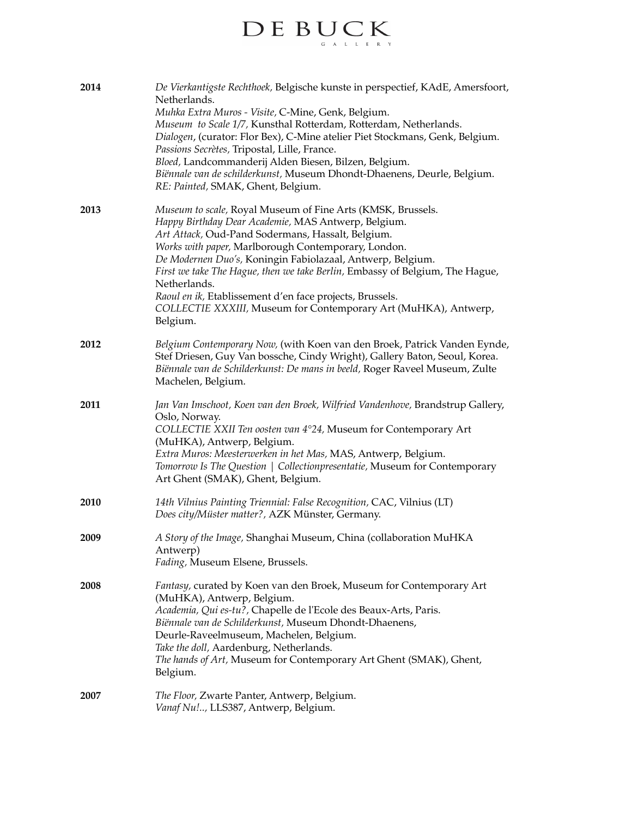# 

| 2014 | De Vierkantigste Rechthoek, Belgische kunste in perspectief, KAdE, Amersfoort,<br>Netherlands.<br>Muhka Extra Muros - Visite, C-Mine, Genk, Belgium.<br>Museum to Scale 1/7, Kunsthal Rotterdam, Rotterdam, Netherlands.<br>Dialogen, (curator: Flor Bex), C-Mine atelier Piet Stockmans, Genk, Belgium.<br>Passions Secrètes, Tripostal, Lille, France.<br>Bloed, Landcommanderij Alden Biesen, Bilzen, Belgium.<br>Biënnale van de schilderkunst, Museum Dhondt-Dhaenens, Deurle, Belgium.<br>RE: Painted, SMAK, Ghent, Belgium.      |
|------|-----------------------------------------------------------------------------------------------------------------------------------------------------------------------------------------------------------------------------------------------------------------------------------------------------------------------------------------------------------------------------------------------------------------------------------------------------------------------------------------------------------------------------------------|
| 2013 | Museum to scale, Royal Museum of Fine Arts (KMSK, Brussels.<br>Happy Birthday Dear Academie, MAS Antwerp, Belgium.<br>Art Attack, Oud-Pand Sodermans, Hassalt, Belgium.<br>Works with paper, Marlborough Contemporary, London.<br>De Modernen Duo's, Koningin Fabiolazaal, Antwerp, Belgium.<br>First we take The Hague, then we take Berlin, Embassy of Belgium, The Hague,<br>Netherlands.<br>Raoul en ik, Etablissement d'en face projects, Brussels.<br>COLLECTIE XXXIII, Museum for Contemporary Art (MuHKA), Antwerp,<br>Belgium. |
| 2012 | Belgium Contemporary Now, (with Koen van den Broek, Patrick Vanden Eynde,<br>Stef Driesen, Guy Van bossche, Cindy Wright), Gallery Baton, Seoul, Korea.<br>Biënnale van de Schilderkunst: De mans in beeld, Roger Raveel Museum, Zulte<br>Machelen, Belgium.                                                                                                                                                                                                                                                                            |
| 2011 | Jan Van Innschoot, Koen van den Broek, Wilfried Vandenhove, Brandstrup Gallery,<br>Oslo, Norway.<br>COLLECTIE XXII Ten oosten van 4°24, Museum for Contemporary Art<br>(MuHKA), Antwerp, Belgium.<br>Extra Muros: Meesterwerken in het Mas, MAS, Antwerp, Belgium.<br>Tomorrow Is The Question   Collectionpresentatie, Museum for Contemporary<br>Art Ghent (SMAK), Ghent, Belgium.                                                                                                                                                    |
| 2010 | 14th Vilnius Painting Triennial: False Recognition, CAC, Vilnius (LT)<br>Does city/Müster matter?, AZK Münster, Germany.                                                                                                                                                                                                                                                                                                                                                                                                                |
| 2009 | A Story of the Image, Shanghai Museum, China (collaboration MuHKA<br>Antwerp)<br>Fading, Museum Elsene, Brussels.                                                                                                                                                                                                                                                                                                                                                                                                                       |
| 2008 | Fantasy, curated by Koen van den Broek, Museum for Contemporary Art<br>(MuHKA), Antwerp, Belgium.<br>Academia, Qui es-tu?, Chapelle de l'Ecole des Beaux-Arts, Paris.<br>Biënnale van de Schilderkunst, Museum Dhondt-Dhaenens,<br>Deurle-Raveelmuseum, Machelen, Belgium.<br>Take the doll, Aardenburg, Netherlands.<br>The hands of Art, Museum for Contemporary Art Ghent (SMAK), Ghent,<br>Belgium.                                                                                                                                 |
| 2007 | The Floor, Zwarte Panter, Antwerp, Belgium.<br>Vanaf Nu!, LLS387, Antwerp, Belgium.                                                                                                                                                                                                                                                                                                                                                                                                                                                     |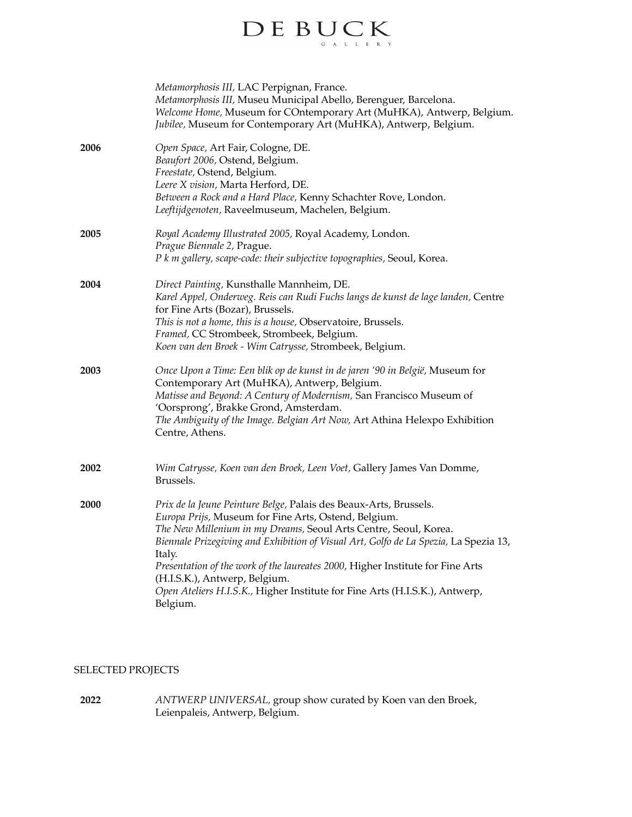

|             | Metamorphosis III, LAC Perpignan, France.<br>Metamorphosis III, Museu Municipal Abello, Berenguer, Barcelona.<br>Welcome Home, Museum for COntemporary Art (MuHKA), Antwerp, Belgium.<br>Jubilee, Museum for Contemporary Art (MuHKA), Antwerp, Belgium.                                                                                                                                                                                                                                                      |
|-------------|---------------------------------------------------------------------------------------------------------------------------------------------------------------------------------------------------------------------------------------------------------------------------------------------------------------------------------------------------------------------------------------------------------------------------------------------------------------------------------------------------------------|
| 2006        | Open Space, Art Fair, Cologne, DE.<br>Beaufort 2006, Ostend, Belgium.<br>Freestate, Ostend, Belgium.<br>Leere X vision, Marta Herford, DE.<br>Between a Rock and a Hard Place, Kenny Schachter Rove, London.<br>Leeftijdgenoten, Raveelmuseum, Machelen, Belgium.                                                                                                                                                                                                                                             |
| 2005        | Royal Academy Illustrated 2005, Royal Academy, London.<br>Prague Biennale 2, Prague.<br>P k in gallery, scape-code: their subjective topographies, Seoul, Korea.                                                                                                                                                                                                                                                                                                                                              |
| 2004        | Direct Painting, Kunsthalle Mannheim, DE.<br>Karel Appel, Onderweg. Reis can Rudi Fuchs langs de kunst de lage landen, Centre<br>for Fine Arts (Bozar), Brussels.<br>This is not a home, this is a house, Observatoire, Brussels.<br>Framed, CC Strombeek, Strombeek, Belgium.<br>Koen van den Broek - Wim Catrysse, Strombeek, Belgium.                                                                                                                                                                      |
| 2003        | Once Upon a Time: Een blik op de kunst in de jaren '90 in België, Museum for<br>Contemporary Art (MuHKA), Antwerp, Belgium.<br>Matisse and Beyond: A Century of Modernism, San Francisco Museum of<br>'Oorsprong', Brakke Grond, Amsterdam.<br>The Ambiguity of the Image. Belgian Art Now, Art Athina Helexpo Exhibition<br>Centre, Athens.                                                                                                                                                                  |
| 2002        | Wim Catrysse, Koen van den Broek, Leen Voet, Gallery James Van Domme,<br>Brussels.                                                                                                                                                                                                                                                                                                                                                                                                                            |
| <b>2000</b> | Prix de la Jeune Peinture Belge, Palais des Beaux-Arts, Brussels.<br>Europa Prijs, Museum for Fine Arts, Ostend, Belgium.<br>The New Millenium in my Dreams, Seoul Arts Centre, Seoul, Korea.<br>Biennale Prizegiving and Exhibition of Visual Art, Golfo de La Spezia, La Spezia 13,<br>Italy.<br>Presentation of the work of the laureates 2000, Higher Institute for Fine Arts<br>(H.I.S.K.), Antwerp, Belgium.<br>Open Ateliers H.I.S.K., Higher Institute for Fine Arts (H.I.S.K.), Antwerp,<br>Belgium. |

### SELECTED PROJECTS

**2022** *ANTWERP UNIVERSAL,* group show curated by Koen van den Broek, Leienpaleis, Antwerp, Belgium.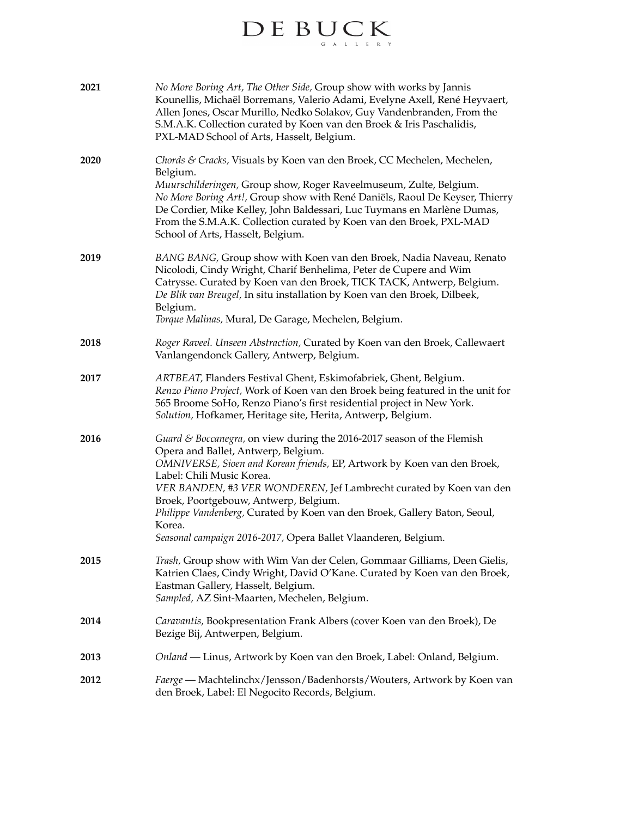# $\label{eq:decomp} \begin{array}{ll} \hspace{-3mm} \textbf{D} \, \textbf{E} \, \, \textbf{B} \, \textbf{U} \, \textbf{C} \, \textbf{K} \\ \hspace{-3mm} \textbf{E} \, \, \textbf{E} \, \textbf{E} \, \textbf{E} \, \textbf{E} \, \textbf{E} \, \textbf{E} \, \textbf{E} \, \textbf{E} \, \textbf{E} \, \textbf{E} \, \textbf{E} \, \textbf{E} \, \textbf{E} \, \textbf{E} \, \textbf{E} \, \textbf{E} \, \textbf{$

| 2021 | No More Boring Art, The Other Side, Group show with works by Jannis<br>Kounellis, Michaël Borremans, Valerio Adami, Evelyne Axell, René Heyvaert,<br>Allen Jones, Oscar Murillo, Nedko Solakov, Guy Vandenbranden, From the<br>S.M.A.K. Collection curated by Koen van den Broek & Iris Paschalidis,<br>PXL-MAD School of Arts, Hasselt, Belgium.                                                                                                                                             |
|------|-----------------------------------------------------------------------------------------------------------------------------------------------------------------------------------------------------------------------------------------------------------------------------------------------------------------------------------------------------------------------------------------------------------------------------------------------------------------------------------------------|
| 2020 | Chords & Cracks, Visuals by Koen van den Broek, CC Mechelen, Mechelen,<br>Belgium.<br>Muurschilderingen, Group show, Roger Raveelmuseum, Zulte, Belgium.<br>No More Boring Art!, Group show with René Daniëls, Raoul De Keyser, Thierry<br>De Cordier, Mike Kelley, John Baldessari, Luc Tuymans en Marlène Dumas,<br>From the S.M.A.K. Collection curated by Koen van den Broek, PXL-MAD<br>School of Arts, Hasselt, Belgium.                                                                |
| 2019 | BANG BANG, Group show with Koen van den Broek, Nadia Naveau, Renato<br>Nicolodi, Cindy Wright, Charif Benhelima, Peter de Cupere and Wim<br>Catrysse. Curated by Koen van den Broek, TICK TACK, Antwerp, Belgium.<br>De Blik van Breugel, In situ installation by Koen van den Broek, Dilbeek,<br>Belgium.<br>Torque Malinas, Mural, De Garage, Mechelen, Belgium.                                                                                                                            |
| 2018 | Roger Raveel. Unseen Abstraction, Curated by Koen van den Broek, Callewaert<br>Vanlangendonck Gallery, Antwerp, Belgium.                                                                                                                                                                                                                                                                                                                                                                      |
| 2017 | ARTBEAT, Flanders Festival Ghent, Eskimofabriek, Ghent, Belgium.<br>Renzo Piano Project, Work of Koen van den Broek being featured in the unit for<br>565 Broome SoHo, Renzo Piano's first residential project in New York.<br>Solution, Hofkamer, Heritage site, Herita, Antwerp, Belgium.                                                                                                                                                                                                   |
| 2016 | Guard & Boccanegra, on view during the 2016-2017 season of the Flemish<br>Opera and Ballet, Antwerp, Belgium.<br>OMNIVERSE, Sioen and Korean friends, EP, Artwork by Koen van den Broek,<br>Label: Chili Music Korea.<br>VER BANDEN, #3 VER WONDEREN, Jef Lambrecht curated by Koen van den<br>Broek, Poortgebouw, Antwerp, Belgium.<br>Philippe Vandenberg, Curated by Koen van den Broek, Gallery Baton, Seoul,<br>Korea.<br>Seasonal campaign 2016-2017, Opera Ballet Vlaanderen, Belgium. |
| 2015 | Trash, Group show with Wim Van der Celen, Gommaar Gilliams, Deen Gielis,<br>Katrien Claes, Cindy Wright, David O'Kane. Curated by Koen van den Broek,<br>Eastman Gallery, Hasselt, Belgium.<br>Sampled, AZ Sint-Maarten, Mechelen, Belgium.                                                                                                                                                                                                                                                   |
| 2014 | Caravantis, Bookpresentation Frank Albers (cover Koen van den Broek), De<br>Bezige Bij, Antwerpen, Belgium.                                                                                                                                                                                                                                                                                                                                                                                   |
| 2013 | Onland — Linus, Artwork by Koen van den Broek, Label: Onland, Belgium.                                                                                                                                                                                                                                                                                                                                                                                                                        |
| 2012 | Faerge — Machtelinchx/Jensson/Badenhorsts/Wouters, Artwork by Koen van<br>den Broek, Label: El Negocito Records, Belgium.                                                                                                                                                                                                                                                                                                                                                                     |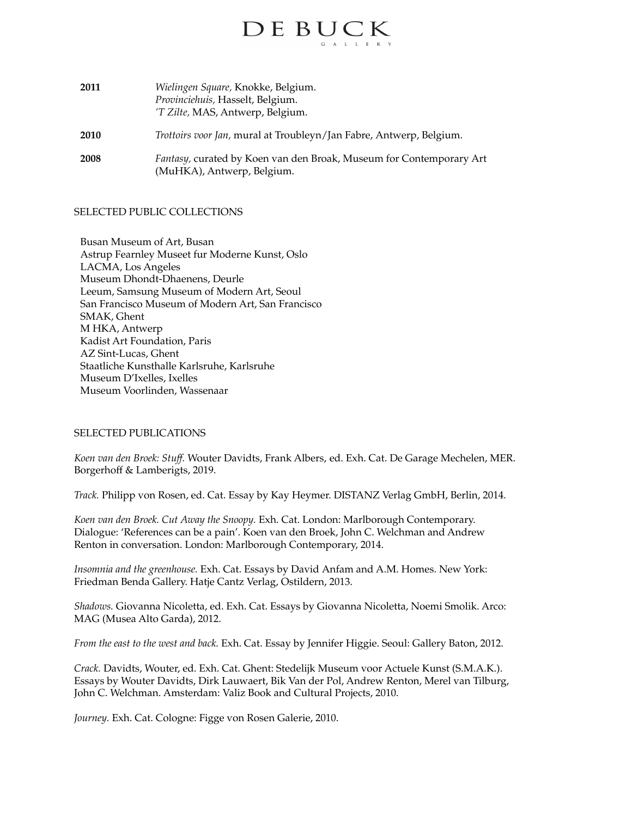

| 2011 | Wielingen Square, Knokke, Belgium.<br>Provinciehuis, Hasselt, Belgium.<br>'T Zilte, MAS, Antwerp, Belgium. |
|------|------------------------------------------------------------------------------------------------------------|
| 2010 | Trottoirs voor Jan, mural at Troubleyn/Jan Fabre, Antwerp, Belgium.                                        |
| 2008 | Fantasy, curated by Koen van den Broak, Museum for Contemporary Art<br>(MuHKA), Antwerp, Belgium.          |

#### SELECTED PUBLIC COLLECTIONS

Busan Museum of Art, Busan Astrup Fearnley Museet fur Moderne Kunst, Oslo LACMA, Los Angeles Museum Dhondt-Dhaenens, Deurle Leeum, Samsung Museum of Modern Art, Seoul San Francisco Museum of Modern Art, San Francisco SMAK, Ghent M HKA, Antwerp Kadist Art Foundation, Paris AZ Sint-Lucas, Ghent Staatliche Kunsthalle Karlsruhe, Karlsruhe Museum D'Ixelles, Ixelles Museum Voorlinden, Wassenaar

#### SELECTED PUBLICATIONS

*Koen van den Broek: Stuff.* Wouter Davidts, Frank Albers, ed. Exh. Cat. De Garage Mechelen, MER. Borgerhoff & Lamberigts, 2019.

*Track.* Philipp von Rosen, ed. Cat. Essay by Kay Heymer. DISTANZ Verlag GmbH, Berlin, 2014.

*Koen van den Broek. Cut Away the Snoopy.* Exh. Cat. London: Marlborough Contemporary. Dialogue: 'References can be a pain'. Koen van den Broek, John C. Welchman and Andrew Renton in conversation. London: Marlborough Contemporary, 2014.

*Insomnia and the greenhouse.* Exh. Cat. Essays by David Anfam and A.M. Homes. New York: Friedman Benda Gallery. Hatje Cantz Verlag, Ostildern, 2013.

*Shadows.* Giovanna Nicoletta, ed. Exh. Cat. Essays by Giovanna Nicoletta, Noemi Smolik. Arco: MAG (Musea Alto Garda), 2012.

*From the east to the west and back.* Exh. Cat. Essay by Jennifer Higgie. Seoul: Gallery Baton, 2012.

*Crack.* Davidts, Wouter, ed. Exh. Cat. Ghent: Stedelijk Museum voor Actuele Kunst (S.M.A.K.). Essays by Wouter Davidts, Dirk Lauwaert, Bik Van der Pol, Andrew Renton, Merel van Tilburg, John C. Welchman. Amsterdam: Valiz Book and Cultural Projects, 2010.

*Journey.* Exh. Cat. Cologne: Figge von Rosen Galerie, 2010.